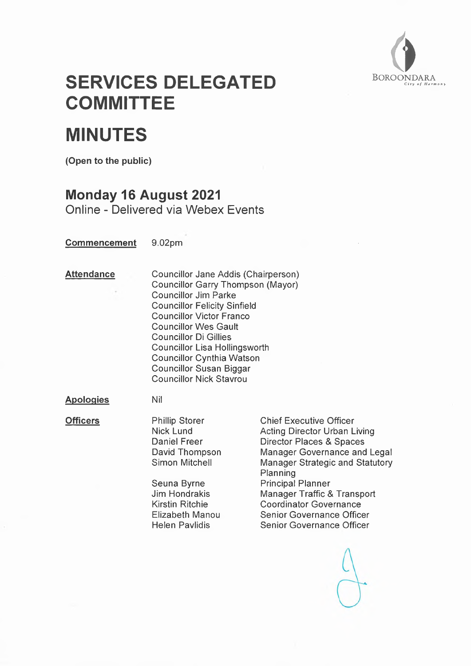

# **SERVICES DELEGATED COMMITTEE**

# **MINUTES**

**(Open to the public)**

## **Monday 16 August 2021**

Online - Delivered via Webex Events

**Commencement** 9.02pm

**Attendance** Councillor Jane Addis (Chairperson) Councillor Garry Thompson (Mayor) Councillor Jim Parke Councillor Felicity Sinfield Councillor Victor Franco Councillor Wes Gault Councillor Di Gillies Councillor Lisa Hollingsworth Councillor Cynthia Watson Councillor Susan Biggar Councillor Nick Stavrou

**Apoloqies** Nil

**Officers** Phillip Storer Chief Executive Officer<br>Nick Lund Acting Director Urban L Acting Director Urban Living Daniel Freer Director Places & Spaces David Thompson Manager Governance and Legal Simon Mitchell Manager Strategic and Statutory Planning Seuna Byrne **Principal Planner**<br>
Jim Hondrakis **Manager Traffic 8** Manager Traffic & Transport Kirstin Ritchie Coordinator Governance Elizabeth Manou Senior Governance Officer Helen Pavlidis Senior Governance Officer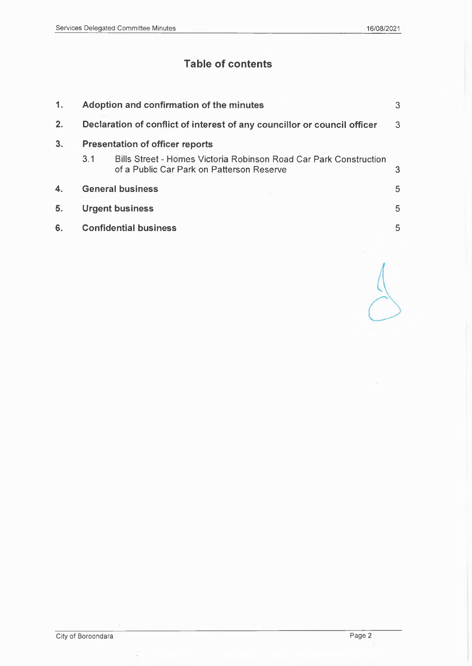# **Table of contents**

| 1.             | Adoption and confirmation of the minutes                                 |                                                                                                                |   |
|----------------|--------------------------------------------------------------------------|----------------------------------------------------------------------------------------------------------------|---|
| 2.             | Declaration of conflict of interest of any councillor or council officer |                                                                                                                |   |
| 3 <sub>1</sub> | <b>Presentation of officer reports</b>                                   |                                                                                                                |   |
|                | 3.1                                                                      | Bills Street - Homes Victoria Robinson Road Car Park Construction<br>of a Public Car Park on Patterson Reserve | 3 |
| 4.             | <b>General business</b>                                                  |                                                                                                                | 5 |
| 5.             | <b>Urgent business</b>                                                   |                                                                                                                |   |
| 6.             | <b>Confidential business</b>                                             |                                                                                                                |   |
|                |                                                                          |                                                                                                                |   |

City of Boroondara Page 2

 $\overline{\phantom{a}}$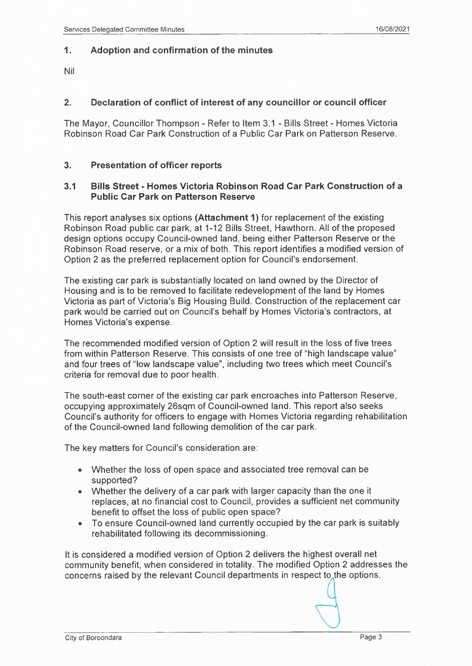### <span id="page-2-0"></span>**1. Adoption and confirmation of the minutes**

Nil

## **2. Declaration of conflict of interest of any councillor or council officer**

The Mayor, Councillor Thompson - Refer to Item 3.1 - Bills Street - Homes Victoria Robinson Road Car Park Construction of a Public Car Park on Patterson Reserve.

#### **3. Presentation of officer reports**

#### **3.1 Bills Street - Homes Victoria Robinson Road Car Park Construction of a Public Car Park on Patterson Reserve**

This report analyses six options **(Attachment 1)** for replacement of the existing Robinson Road public car park, at 1-12 Bills Street, Hawthorn. All of the proposed design options occupy Council-owned land, being either Patterson Reserve or the Robinson Road reserve, or a mix of both. This report identifies a modified version of Option 2 as the preferred replacement option for Council's endorsement.

The existing car park is substantially located on land owned by the Director of Housing and is to be removed to facilitate redevelopment of the land by Homes Victoria as part of Victoria's Big Housing Build. Construction of the replacement car park would be carried out on Council's behalf by Homes Victoria's contractors, at Homes Victoria's expense.

The recommended modified version of Option 2 will result in the loss of five trees from within Patterson Reserve. This consists of one tree of "high landscape value" and four trees of "low landscape value", including two trees which meet Council's criteria for removal due to poor health.

The south-east corner of the existing car park encroaches into Patterson Reserve, occupying approximately 26sqm of Council-owned land. This report also seeks Council's authority for officers to engage with Homes Victoria regarding rehabilitation of the Council-owned land following demolition of the car park.

The key matters for Council's consideration are:

- Whether the loss of open space and associated tree removal can be supported?
- Whether the delivery of a car park with larger capacity than the one it replaces, at no financial cost to Council, provides a sufficient net community benefit to offset the loss of public open space?
- To ensure Council-owned land currently occupied by the car park is suitably rehabilitated following its decommissioning.

It is considered a modified version of Option 2 delivers the highest overall net community benefit, when considered in totality. The modified Option 2 addresses the concerns raised by the relevant Council departments in respect to the options.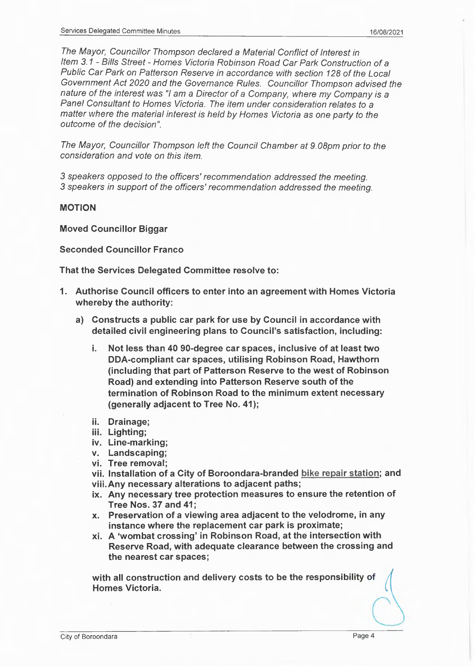*The Mayor, Councillor Thompson declared a Material Conflict of Interest In Item 3.1 - Bills Street - Homes Victoria Robinson Road Car Park Construction of a Public Car Park on Patterson Reserve in accordance with section 128 of the Local Government Act 2020 and the Governance Rules. Councillor Thompson advised the nature of the interest was* 7 *am a Director of a Company, where my Company is a Panel Consultant to Homes Victoria. The item under consideration relates to a matter where the material interest is held by Homes Victoria as one party to the outcome of the decision".*

*The Mayor, Councillor Thompson left the Council Chamber at 9.08pm prior to the consideration and vote on this item.*

*3 speakers opposed to the officers' recommendation addressed the meeting. 3 speakers in support of the officers' recommendation addressed the meeting.*

#### **MOTION**

**Moved Councillor Biggar**

#### **Seconded Councillor Franco**

**That the Services Delegated Committee resolve to:**

- **1. Authorise Council officers to enter into an agreement with Homes Victoria whereby the authority:**
	- **a) Constructs a public car park for use by Council in accordance with detailed civil engineering plans to Council's satisfaction, including:**
		- **i. Not less than 40 90-degree car spaces, inclusive of at least two DDA-compliant car spaces, utilising Robinson Road, Hawthorn (including that part of Patterson Reserve to the west of Robinson Road) and extending into Patterson Reserve south of the termination of Robinson Road to the minimum extent necessary (generally adjacent to Tree No. 41);**
		- **ii. Drainage;**
		- **iii. Lighting;**
		- **iv. Line-marking;**
		- **v. Landscaping;**
		- **vi. Tree removal;**
		- **vii. Installation of a City of Boroondara-branded bike repair station; and**
		- **viii.Any necessary alterations to adjacent paths;**
		- **ix. Any necessary tree protection measures to ensure the retention of Tree Nos. 37 and 41;**
		- **x. Preservation of a viewing area adjacent to the velodrome, in any instance where the replacement car park is proximate;**
		- **xi. A 'wombat crossing' in Robinson Road, at the intersection with Reserve Road, with adequate clearance between the crossing and the nearest car spaces;**

**with all construction and delivery costs to be the responsibility of <sup>I</sup> Homes Victoria.**